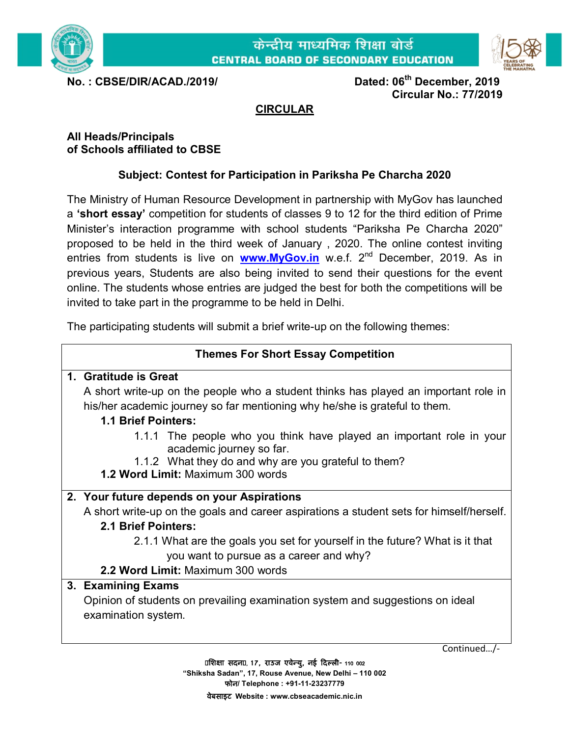



**No. : CBSE/DIR/ACAD./2019/ Dated: 06th December, 2019 Circular No.: 77/2019**

# **CIRCULAR**

#### **All Heads/Principals of Schools affiliated to CBSE**

# **Subject: Contest for Participation in Pariksha Pe Charcha 2020**

The Ministry of Human Resource Development in partnership with MyGov has launched a **'short essay'** competition for students of classes 9 to 12 for the third edition of Prime Minister's interaction programme with school students "Pariksha Pe Charcha 2020" proposed to be held in the third week of January , 2020. The online contest inviting entries from students is live on **[www.MyGov.in](http://www.MyGov.in)** w.e.f. 2<sup>nd</sup> December, 2019. As in previous years, Students are also being invited to send their questions for the event online. The students whose entries are judged the best for both the competitions will be invited to take part in the programme to be held in Delhi.

The participating students will submit a brief write-up on the following themes:

## **Themes For Short Essay Competition**

#### **1. Gratitude is Great**

A short write-up on the people who a student thinks has played an important role in his/her academic journey so far mentioning why he/she is grateful to them.

## **1.1 Brief Pointers:**

- 1.1.1 The people who you think have played an important role in your academic journey so far.
- 1.1.2 What they do and why are you grateful to them?
- **1.2 Word Limit:** Maximum 300 words

## **2. Your future depends on your Aspirations**

A short write-up on the goals and career aspirations a student sets for himself/herself.

## **2.1 Brief Pointers:**

- 2.1.1 What are the goals you set for yourself in the future? What is it that you want to pursue as a career and why?
- **2.2 Word Limit:** Maximum 300 words

## **3. Examining Exams**

Opinion of students on prevailing examination system and suggestions on ideal examination system.

Continued…/-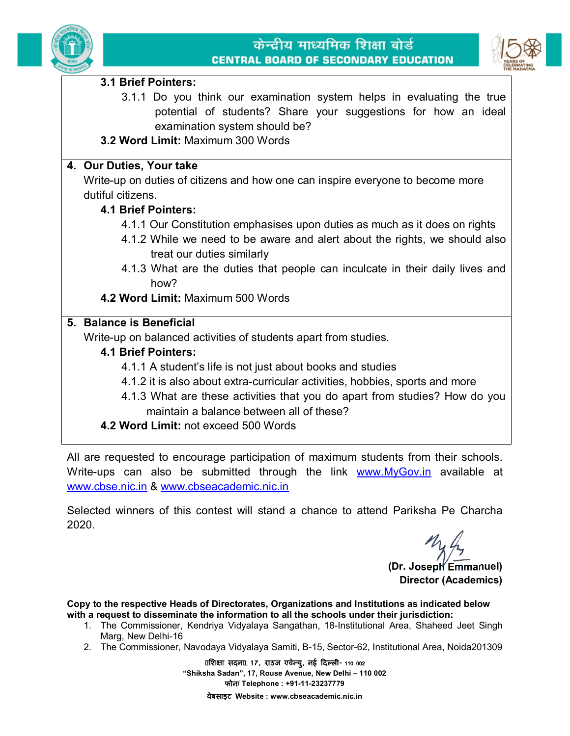



#### **3.1 Brief Pointers:**

- 3.1.1 Do you think our examination system helps in evaluating the true potential of students? Share your suggestions for how an ideal examination system should be?
- **3.2 Word Limit:** Maximum 300 Words

## **4. Our Duties, Your take**

Write-up on duties of citizens and how one can inspire everyone to become more dutiful citizens.

## **4.1 Brief Pointers:**

- 4.1.1 Our Constitution emphasises upon duties as much as it does on rights
- 4.1.2 While we need to be aware and alert about the rights, we should also treat our duties similarly
- 4.1.3 What are the duties that people can inculcate in their daily lives and how?
- **4.2 Word Limit:** Maximum 500 Words

## **5. Balance is Beneficial**

Write-up on balanced activities of students apart from studies.

## **4.1 Brief Pointers:**

- 4.1.1 A student's life is not just about books and studies
- 4.1.2 it is also about extra-curricular activities, hobbies, sports and more
- 4.1.3 What are these activities that you do apart from studies? How do you maintain a balance between all of these?
- **4.2 Word Limit:** not exceed 500 Words

All are requested to encourage participation of maximum students from their schools. Write-ups can also be submitted through the link [www.MyGov.in](http://www.MyGov.in) available at [www.cbse.nic.in](http://www.cbse.nic.in) & [www.cbseacademic.nic.in](http://www.cbseacademic.nic.in)

Selected winners of this contest will stand a chance to attend Pariksha Pe Charcha 2020.

**(Dr. Joseph Emmanuel) Director (Academics)**

**Copy to the respective Heads of Directorates, Organizations and Institutions as indicated below with a request to disseminate the information to all the schools under their jurisdiction:** 

- 1. The Commissioner, Kendriya Vidyalaya Sangathan, 18-Institutional Area, Shaheed Jeet Singh Marg, New Delhi-16
- 2. The Commissioner, Navodaya Vidyalaya Samiti, B-15, Sector-62, Institutional Area, Noida201309

**िश¢ा सदन] 17, राउज एवेÛयु, नई Ǒदãली- 110 002 "Shiksha Sadan", 17, Rouse Avenue, New Delhi – 110 002 फोन/ Telephone : +91-11-23237779 वेबसाइट Website : [www.cbseacademic.nic.in](http://www.cbseacademic.nic.in)**